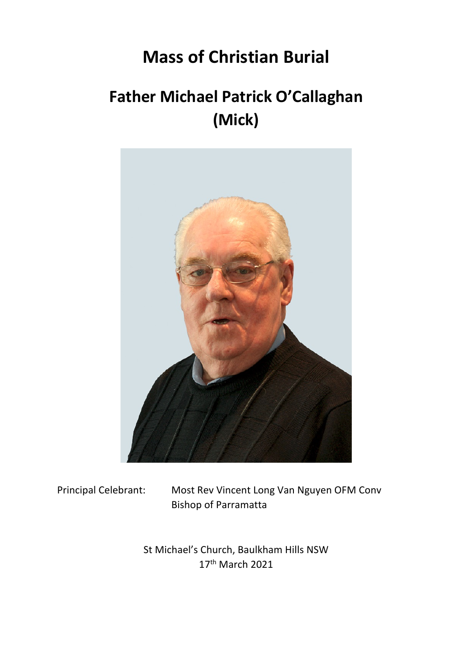# **Mass of Christian Burial**

# **Father Michael Patrick O'Callaghan (Mick)**



Principal Celebrant: Most Rev Vincent Long Van Nguyen OFM Conv Bishop of Parramatta

> St Michael's Church, Baulkham Hills NSW 17th March 2021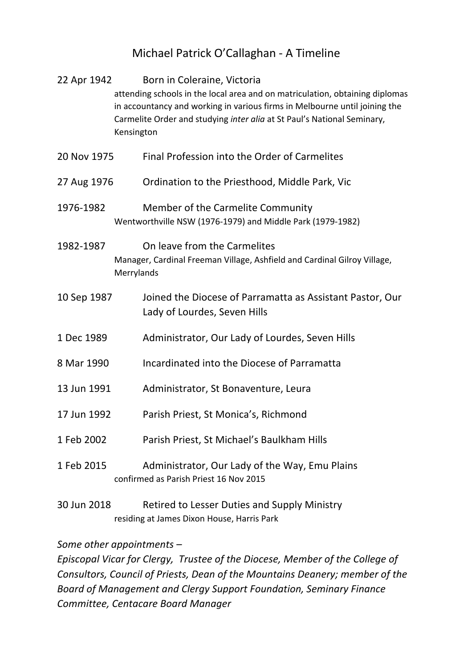# Michael Patrick O'Callaghan - A Timeline

| 22 Apr 1942 | Born in Coleraine, Victoria<br>attending schools in the local area and on matriculation, obtaining diplomas<br>in accountancy and working in various firms in Melbourne until joining the<br>Carmelite Order and studying inter alia at St Paul's National Seminary,<br>Kensington |
|-------------|------------------------------------------------------------------------------------------------------------------------------------------------------------------------------------------------------------------------------------------------------------------------------------|
| 20 Nov 1975 | Final Profession into the Order of Carmelites                                                                                                                                                                                                                                      |
| 27 Aug 1976 | Ordination to the Priesthood, Middle Park, Vic                                                                                                                                                                                                                                     |
| 1976-1982   | Member of the Carmelite Community<br>Wentworthville NSW (1976-1979) and Middle Park (1979-1982)                                                                                                                                                                                    |
| 1982-1987   | On leave from the Carmelites<br>Manager, Cardinal Freeman Village, Ashfield and Cardinal Gilroy Village,<br>Merrylands                                                                                                                                                             |
| 10 Sep 1987 | Joined the Diocese of Parramatta as Assistant Pastor, Our<br>Lady of Lourdes, Seven Hills                                                                                                                                                                                          |
| 1 Dec 1989  | Administrator, Our Lady of Lourdes, Seven Hills                                                                                                                                                                                                                                    |
| 8 Mar 1990  | Incardinated into the Diocese of Parramatta                                                                                                                                                                                                                                        |
| 13 Jun 1991 | Administrator, St Bonaventure, Leura                                                                                                                                                                                                                                               |
| 17 Jun 1992 | Parish Priest, St Monica's, Richmond                                                                                                                                                                                                                                               |
| 1 Feb 2002  | Parish Priest, St Michael's Baulkham Hills                                                                                                                                                                                                                                         |
| 1 Feb 2015  | Administrator, Our Lady of the Way, Emu Plains<br>confirmed as Parish Priest 16 Nov 2015                                                                                                                                                                                           |
| 30 Jun 2018 | Retired to Lesser Duties and Supply Ministry<br>residing at James Dixon House, Harris Park                                                                                                                                                                                         |

*Some other appointments –*

*Episcopal Vicar for Clergy, Trustee of the Diocese, Member of the College of Consultors, Council of Priests, Dean of the Mountains Deanery; member of the Board of Management and Clergy Support Foundation, Seminary Finance Committee, Centacare Board Manager*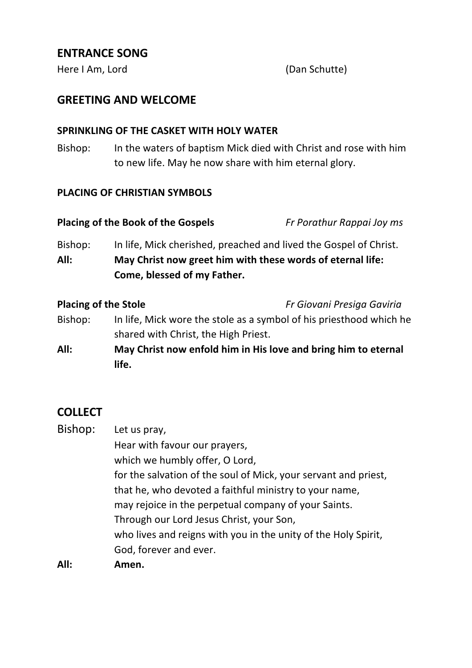# **ENTRANCE SONG**

Here I Am, Lord (Dan Schutte)

# **GREETING AND WELCOME**

#### **SPRINKLING OF THE CASKET WITH HOLY WATER**

Bishop: In the waters of baptism Mick died with Christ and rose with him to new life. May he now share with him eternal glory.

### **PLACING OF CHRISTIAN SYMBOLS**

| <b>Placing of the Book of the Gospels</b> |                                                                                                                                 | Fr Porathur Rappai Joy ms |
|-------------------------------------------|---------------------------------------------------------------------------------------------------------------------------------|---------------------------|
| Bishop:<br>All:                           | In life, Mick cherished, preached and lived the Gospel of Christ.<br>May Christ now greet him with these words of eternal life: |                           |
|                                           | Come, blessed of my Father.                                                                                                     |                           |
|                                           |                                                                                                                                 |                           |

**Placing of the Stole** *Fr Giovani Presiga Gaviria*

- Bishop: In life, Mick wore the stole as a symbol of his priesthood which he shared with Christ, the High Priest.
- **All: May Christ now enfold him in His love and bring him to eternal life.**

# **COLLECT**

| Bishop: | Let us pray,                                                    |
|---------|-----------------------------------------------------------------|
|         | Hear with favour our prayers,                                   |
|         | which we humbly offer, O Lord,                                  |
|         | for the salvation of the soul of Mick, your servant and priest, |
|         | that he, who devoted a faithful ministry to your name,          |
|         | may rejoice in the perpetual company of your Saints.            |
|         | Through our Lord Jesus Christ, your Son,                        |
|         | who lives and reigns with you in the unity of the Holy Spirit,  |
|         | God, forever and ever.                                          |
| All:    | Amen.                                                           |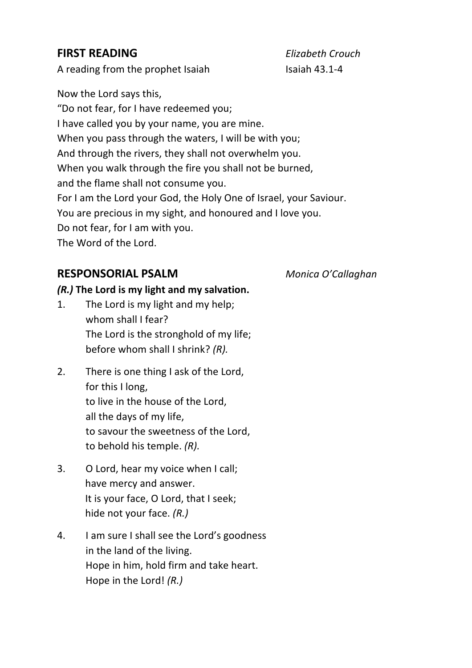# **FIRST READING** *Elizabeth Crouch*

A reading from the prophet Isaiah Isaiah Isaiah 43.1-4

Now the Lord says this, "Do not fear, for I have redeemed you; I have called you by your name, you are mine. When you pass through the waters, I will be with you; And through the rivers, they shall not overwhelm you. When you walk through the fire you shall not be burned, and the flame shall not consume you. For I am the Lord your God, the Holy One of Israel, your Saviour. You are precious in my sight, and honoured and I love you. Do not fear, for I am with you. The Word of the Lord.

# **RESPONSORIAL PSALM** *Monica O'Callaghan*

# *(R.)* **The Lord is my light and my salvation.**

- 1. The Lord is my light and my help; whom shall I fear? The Lord is the stronghold of my life; before whom shall I shrink? *(R).*
- 2. There is one thing I ask of the Lord, for this I long, to live in the house of the Lord, all the days of my life, to savour the sweetness of the Lord, to behold his temple. *(R).*
- 3. O Lord, hear my voice when I call; have mercy and answer. It is your face, O Lord, that I seek; hide not your face. *(R.)*
- 4. I am sure I shall see the Lord's goodness in the land of the living. Hope in him, hold firm and take heart. Hope in the Lord! *(R.)*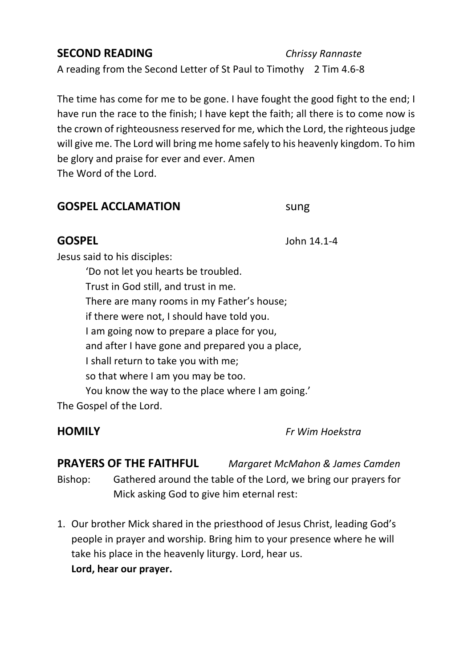# **SECOND READING** *Chrissy Rannaste*

A reading from the Second Letter of St Paul to Timothy 2 Tim 4.6-8

The time has come for me to be gone. I have fought the good fight to the end; I have run the race to the finish; I have kept the faith; all there is to come now is the crown of righteousness reserved for me, which the Lord, the righteous judge will give me. The Lord will bring me home safely to his heavenly kingdom. To him be glory and praise for ever and ever. Amen The Word of the Lord.

# **GOSPEL ACCLAMATION** Sung

**GOSPEL** John 14.1-4

Jesus said to his disciples:

'Do not let you hearts be troubled. Trust in God still, and trust in me. There are many rooms in my Father's house; if there were not, I should have told you. I am going now to prepare a place for you, and after I have gone and prepared you a place, I shall return to take you with me; so that where I am you may be too. You know the way to the place where I am going.' The Gospel of the Lord.

**HOMILY** *Fr Wim Hoekstra*

**PRAYERS OF THE FAITHFUL** *Margaret McMahon & James Camden* Bishop: Gathered around the table of the Lord, we bring our prayers for Mick asking God to give him eternal rest:

1. Our brother Mick shared in the priesthood of Jesus Christ, leading God's people in prayer and worship. Bring him to your presence where he will take his place in the heavenly liturgy. Lord, hear us. **Lord, hear our prayer.**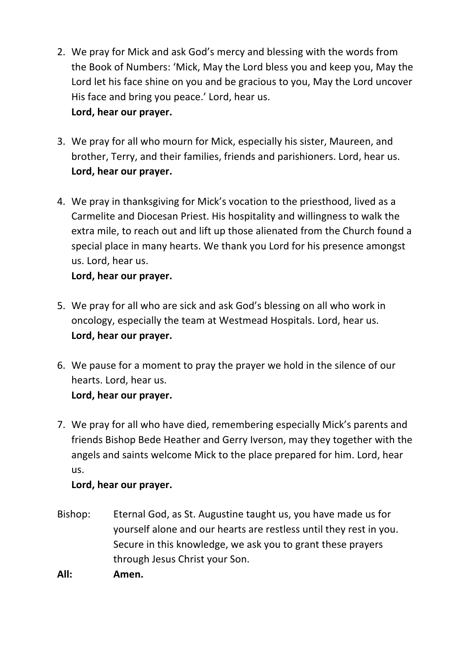- 2. We pray for Mick and ask God's mercy and blessing with the words from the Book of Numbers: 'Mick, May the Lord bless you and keep you, May the Lord let his face shine on you and be gracious to you, May the Lord uncover His face and bring you peace.' Lord, hear us. **Lord, hear our prayer.**
- 3. We pray for all who mourn for Mick, especially his sister, Maureen, and brother, Terry, and their families, friends and parishioners. Lord, hear us. **Lord, hear our prayer.**
- 4. We pray in thanksgiving for Mick's vocation to the priesthood, lived as a Carmelite and Diocesan Priest. His hospitality and willingness to walk the extra mile, to reach out and lift up those alienated from the Church found a special place in many hearts. We thank you Lord for his presence amongst us. Lord, hear us.

# **Lord, hear our prayer.**

- 5. We pray for all who are sick and ask God's blessing on all who work in oncology, especially the team at Westmead Hospitals. Lord, hear us. **Lord, hear our prayer.**
- 6. We pause for a moment to pray the prayer we hold in the silence of our hearts. Lord, hear us. **Lord, hear our prayer.**
- 7. We pray for all who have died, remembering especially Mick's parents and friends Bishop Bede Heather and Gerry Iverson, may they together with the angels and saints welcome Mick to the place prepared for him. Lord, hear us.

# **Lord, hear our prayer.**

- Bishop: Eternal God, as St. Augustine taught us, you have made us for yourself alone and our hearts are restless until they rest in you. Secure in this knowledge, we ask you to grant these prayers through Jesus Christ your Son.
- **All: Amen.**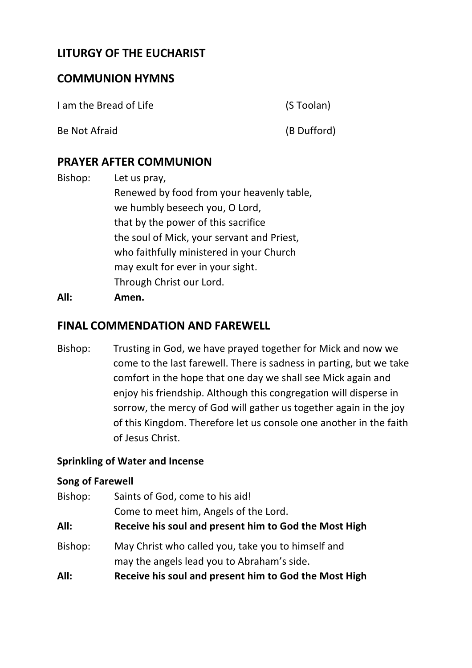# **LITURGY OF THE EUCHARIST**

### **COMMUNION HYMNS**

| I am the Bread of Life | (S Toolan)  |
|------------------------|-------------|
| Be Not Afraid          | (B Dufford) |

# **PRAYER AFTER COMMUNION**

| Bishop: | Let us pray,                               |
|---------|--------------------------------------------|
|         | Renewed by food from your heavenly table,  |
|         | we humbly beseech you, O Lord,             |
|         | that by the power of this sacrifice        |
|         | the soul of Mick, your servant and Priest, |
|         | who faithfully ministered in your Church   |
|         | may exult for ever in your sight.          |
|         | Through Christ our Lord.                   |
|         |                                            |

**All: Amen.**

### **FINAL COMMENDATION AND FAREWELL**

Bishop: Trusting in God, we have prayed together for Mick and now we come to the last farewell. There is sadness in parting, but we take comfort in the hope that one day we shall see Mick again and enjoy his friendship. Although this congregation will disperse in sorrow, the mercy of God will gather us together again in the joy of this Kingdom. Therefore let us console one another in the faith of Jesus Christ.

### **Sprinkling of Water and Incense**

#### **Song of Farewell**

| Bishop: | Saints of God, come to his aid!                                                                  |
|---------|--------------------------------------------------------------------------------------------------|
|         | Come to meet him, Angels of the Lord.                                                            |
| All:    | Receive his soul and present him to God the Most High                                            |
| Bishop: | May Christ who called you, take you to himself and<br>may the angels lead you to Abraham's side. |
| All:    | Receive his soul and present him to God the Most High                                            |
|         |                                                                                                  |